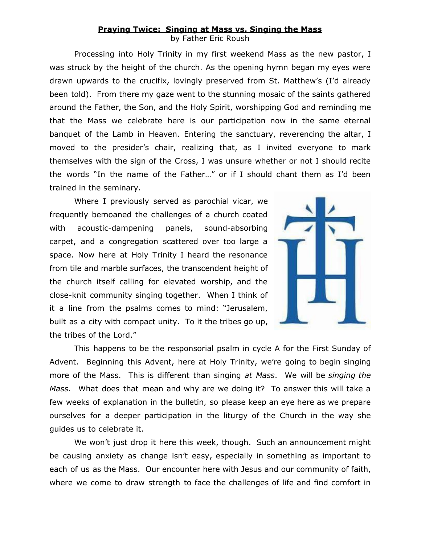## **Praying Twice: Singing at Mass vs. Singing the Mass**

by Father Eric Roush

Processing into Holy Trinity in my first weekend Mass as the new pastor, I was struck by the height of the church. As the opening hymn began my eyes were drawn upwards to the crucifix, lovingly preserved from St. Matthew's (I'd already been told). From there my gaze went to the stunning mosaic of the saints gathered around the Father, the Son, and the Holy Spirit, worshipping God and reminding me that the Mass we celebrate here is our participation now in the same eternal banquet of the Lamb in Heaven. Entering the sanctuary, reverencing the altar, I moved to the presider's chair, realizing that, as I invited everyone to mark themselves with the sign of the Cross, I was unsure whether or not I should recite the words "In the name of the Father…" or if I should chant them as I'd been trained in the seminary.

Where I previously served as parochial vicar, we frequently bemoaned the challenges of a church coated with acoustic-dampening panels, sound-absorbing carpet, and a congregation scattered over too large a space. Now here at Holy Trinity I heard the resonance from tile and marble surfaces, the transcendent height of the church itself calling for elevated worship, and the close-knit community singing together. When I think of it a line from the psalms comes to mind: "Jerusalem, built as a city with compact unity. To it the tribes go up, the tribes of the Lord."



This happens to be the responsorial psalm in cycle A for the First Sunday of Advent. Beginning this Advent, here at Holy Trinity, we're going to begin singing more of the Mass. This is different than singing *at Mass*. We will be *singing the Mass*. What does that mean and why are we doing it? To answer this will take a few weeks of explanation in the bulletin, so please keep an eye here as we prepare ourselves for a deeper participation in the liturgy of the Church in the way she guides us to celebrate it.

We won't just drop it here this week, though. Such an announcement might be causing anxiety as change isn't easy, especially in something as important to each of us as the Mass. Our encounter here with Jesus and our community of faith, where we come to draw strength to face the challenges of life and find comfort in